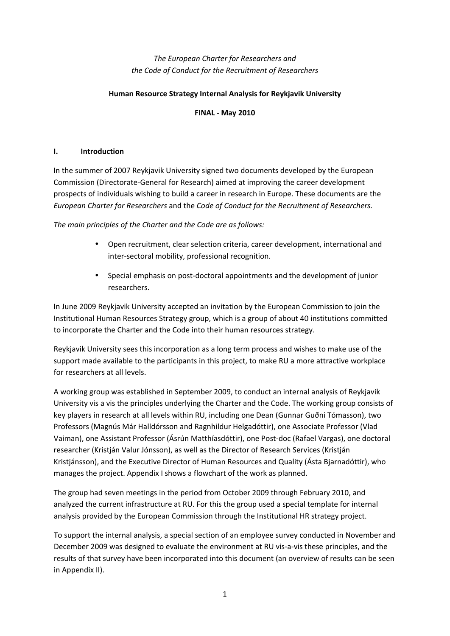# *The European Charter for Researchers and the Code of Conduct for the Recruitment of Researchers*

### **Human Resource Strategy Internal Analysis for Reykjavik University**

### **FINAL ‐ May 2010**

### **I. Introduction**

In the summer of 2007 Reykjavik University signed two documents developed by the European Commission (Directorate‐General for Research) aimed at improving the career development prospects of individuals wishing to build a career in research in Europe. These documents are the *European Charter for Researchers* and the *Code of Conduct for the Recruitment of Researchers.*

*The main principles of the Charter and the Code are as follows:*

- Open recruitment, clear selection criteria, career development, international and inter‐sectoral mobility, professional recognition.
- Special emphasis on post-doctoral appointments and the development of junior researchers.

In June 2009 Reykjavik University accepted an invitation by the European Commission to join the Institutional Human Resources Strategy group, which is a group of about 40 institutions committed to incorporate the Charter and the Code into their human resources strategy.

Reykjavik University sees this incorporation as a long term process and wishes to make use of the support made available to the participants in this project, to make RU a more attractive workplace for researchers at all levels.

A working group was established in September 2009, to conduct an internal analysis of Reykjavik University vis a vis the principles underlying the Charter and the Code. The working group consists of key players in research at all levels within RU, including one Dean (Gunnar Guðni Tómasson), two Professors (Magnús Már Halldórsson and Ragnhildur Helgadóttir), one Associate Professor (Vlad Vaiman), one Assistant Professor (Ásrún Matthíasdóttir), one Post‐doc (Rafael Vargas), one doctoral researcher (Kristján Valur Jónsson), as well as the Director of Research Services (Kristján Kristjánsson), and the Executive Director of Human Resources and Quality (Ásta Bjarnadóttir), who manages the project. Appendix I shows a flowchart of the work as planned.

The group had seven meetings in the period from October 2009 through February 2010, and analyzed the current infrastructure at RU. For this the group used a special template for internal analysis provided by the European Commission through the Institutional HR strategy project.

To support the internal analysis, a special section of an employee survey conducted in November and December 2009 was designed to evaluate the environment at RU vis-a-vis these principles, and the results of that survey have been incorporated into this document (an overview of results can be seen in Appendix II).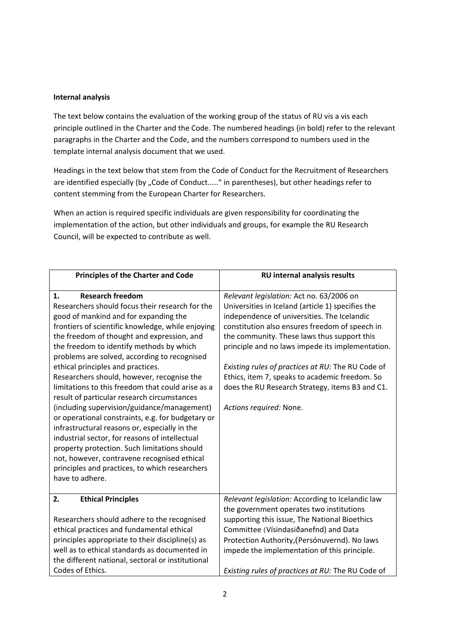#### **Internal analysis**

The text below contains the evaluation of the working group of the status of RU vis a vis each principle outlined in the Charter and the Code. The numbered headings (in bold) refer to the relevant paragraphs in the Charter and the Code, and the numbers correspond to numbers used in the template internal analysis document that we used.

Headings in the text below that stem from the Code of Conduct for the Recruitment of Researchers are identified especially (by "Code of Conduct....." in parentheses), but other headings refer to content stemming from the European Charter for Researchers.

When an action is required specific individuals are given responsibility for coordinating the implementation of the action, but other individuals and groups, for example the RU Research Council, will be expected to contribute as well.

| <b>Principles of the Charter and Code</b>                                                                                                                                                                                                                                                                                                                                                                                                                                                                                                                                                                                                                                                                                                                                                                                                                                                  | <b>RU internal analysis results</b>                                                                                                                                                                                                                                                                                                                                                                                                                                                    |
|--------------------------------------------------------------------------------------------------------------------------------------------------------------------------------------------------------------------------------------------------------------------------------------------------------------------------------------------------------------------------------------------------------------------------------------------------------------------------------------------------------------------------------------------------------------------------------------------------------------------------------------------------------------------------------------------------------------------------------------------------------------------------------------------------------------------------------------------------------------------------------------------|----------------------------------------------------------------------------------------------------------------------------------------------------------------------------------------------------------------------------------------------------------------------------------------------------------------------------------------------------------------------------------------------------------------------------------------------------------------------------------------|
| <b>Research freedom</b><br>1.<br>Researchers should focus their research for the<br>good of mankind and for expanding the<br>frontiers of scientific knowledge, while enjoying<br>the freedom of thought and expression, and<br>the freedom to identify methods by which<br>problems are solved, according to recognised<br>ethical principles and practices.<br>Researchers should, however, recognise the<br>limitations to this freedom that could arise as a<br>result of particular research circumstances<br>(including supervision/guidance/management)<br>or operational constraints, e.g. for budgetary or<br>infrastructural reasons or, especially in the<br>industrial sector, for reasons of intellectual<br>property protection. Such limitations should<br>not, however, contravene recognised ethical<br>principles and practices, to which researchers<br>have to adhere. | Relevant legislation: Act no. 63/2006 on<br>Universities in Iceland (article 1) specifies the<br>independence of universities. The Icelandic<br>constitution also ensures freedom of speech in<br>the community. These laws thus support this<br>principle and no laws impede its implementation.<br>Existing rules of practices at RU: The RU Code of<br>Ethics, item 7, speaks to academic freedom. So<br>does the RU Research Strategy, items B3 and C1.<br>Actions required: None. |
| <b>Ethical Principles</b><br>2.                                                                                                                                                                                                                                                                                                                                                                                                                                                                                                                                                                                                                                                                                                                                                                                                                                                            | Relevant legislation: According to Icelandic law<br>the government operates two institutions                                                                                                                                                                                                                                                                                                                                                                                           |
| Researchers should adhere to the recognised                                                                                                                                                                                                                                                                                                                                                                                                                                                                                                                                                                                                                                                                                                                                                                                                                                                | supporting this issue, The National Bioethics                                                                                                                                                                                                                                                                                                                                                                                                                                          |
| ethical practices and fundamental ethical                                                                                                                                                                                                                                                                                                                                                                                                                                                                                                                                                                                                                                                                                                                                                                                                                                                  | Committee (Vísindasiðanefnd) and Data                                                                                                                                                                                                                                                                                                                                                                                                                                                  |
| principles appropriate to their discipline(s) as                                                                                                                                                                                                                                                                                                                                                                                                                                                                                                                                                                                                                                                                                                                                                                                                                                           | Protection Authority, (Persónuvernd). No laws                                                                                                                                                                                                                                                                                                                                                                                                                                          |
| well as to ethical standards as documented in<br>the different national, sectoral or institutional                                                                                                                                                                                                                                                                                                                                                                                                                                                                                                                                                                                                                                                                                                                                                                                         | impede the implementation of this principle.                                                                                                                                                                                                                                                                                                                                                                                                                                           |
| Codes of Ethics.                                                                                                                                                                                                                                                                                                                                                                                                                                                                                                                                                                                                                                                                                                                                                                                                                                                                           | Existing rules of practices at RU: The RU Code of                                                                                                                                                                                                                                                                                                                                                                                                                                      |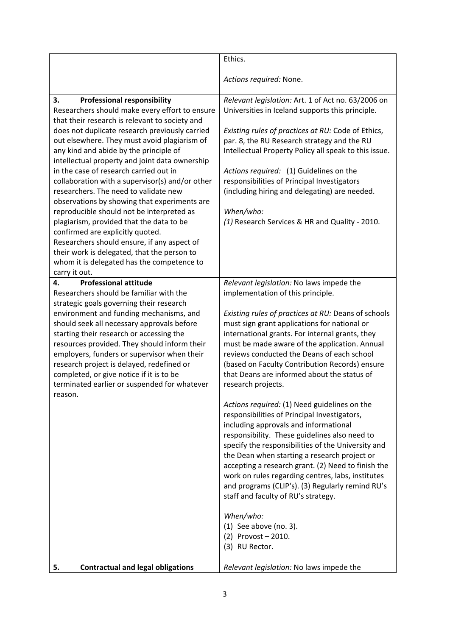|                                                                                                                                                                                                                                                                                                                                                                                                                                  | Ethics.                                                                                                                                                                                                                                                                                                                                                                                                                                                                                            |
|----------------------------------------------------------------------------------------------------------------------------------------------------------------------------------------------------------------------------------------------------------------------------------------------------------------------------------------------------------------------------------------------------------------------------------|----------------------------------------------------------------------------------------------------------------------------------------------------------------------------------------------------------------------------------------------------------------------------------------------------------------------------------------------------------------------------------------------------------------------------------------------------------------------------------------------------|
|                                                                                                                                                                                                                                                                                                                                                                                                                                  | Actions required: None.                                                                                                                                                                                                                                                                                                                                                                                                                                                                            |
| <b>Professional responsibility</b><br>3.<br>Researchers should make every effort to ensure<br>that their research is relevant to society and<br>does not duplicate research previously carried<br>out elsewhere. They must avoid plagiarism of<br>any kind and abide by the principle of<br>intellectual property and joint data ownership<br>in the case of research carried out in                                             | Relevant legislation: Art. 1 of Act no. 63/2006 on<br>Universities in Iceland supports this principle.<br>Existing rules of practices at RU: Code of Ethics,<br>par. 8, the RU Research strategy and the RU<br>Intellectual Property Policy all speak to this issue.<br>Actions required: (1) Guidelines on the                                                                                                                                                                                    |
| collaboration with a supervisor(s) and/or other<br>researchers. The need to validate new<br>observations by showing that experiments are                                                                                                                                                                                                                                                                                         | responsibilities of Principal Investigators<br>(including hiring and delegating) are needed.                                                                                                                                                                                                                                                                                                                                                                                                       |
| reproducible should not be interpreted as<br>plagiarism, provided that the data to be<br>confirmed are explicitly quoted.<br>Researchers should ensure, if any aspect of<br>their work is delegated, that the person to<br>whom it is delegated has the competence to<br>carry it out.                                                                                                                                           | When/who:<br>(1) Research Services & HR and Quality - 2010.                                                                                                                                                                                                                                                                                                                                                                                                                                        |
| <b>Professional attitude</b><br>4.<br>Researchers should be familiar with the                                                                                                                                                                                                                                                                                                                                                    | Relevant legislation: No laws impede the<br>implementation of this principle.                                                                                                                                                                                                                                                                                                                                                                                                                      |
| strategic goals governing their research<br>environment and funding mechanisms, and<br>should seek all necessary approvals before<br>starting their research or accessing the<br>resources provided. They should inform their<br>employers, funders or supervisor when their<br>research project is delayed, redefined or<br>completed, or give notice if it is to be<br>terminated earlier or suspended for whatever<br>reason. | Existing rules of practices at RU: Deans of schools<br>must sign grant applications for national or<br>international grants. For internal grants, they<br>must be made aware of the application. Annual<br>reviews conducted the Deans of each school<br>(based on Faculty Contribution Records) ensure<br>that Deans are informed about the status of<br>research projects.                                                                                                                       |
|                                                                                                                                                                                                                                                                                                                                                                                                                                  | Actions required: (1) Need guidelines on the<br>responsibilities of Principal Investigators,<br>including approvals and informational<br>responsibility. These guidelines also need to<br>specify the responsibilities of the University and<br>the Dean when starting a research project or<br>accepting a research grant. (2) Need to finish the<br>work on rules regarding centres, labs, institutes<br>and programs (CLIP's). (3) Regularly remind RU's<br>staff and faculty of RU's strategy. |
|                                                                                                                                                                                                                                                                                                                                                                                                                                  | When/who:<br>$(1)$ See above (no. 3).<br>(2) Provost - 2010.<br>(3) RU Rector.                                                                                                                                                                                                                                                                                                                                                                                                                     |
| <b>Contractual and legal obligations</b><br>5.                                                                                                                                                                                                                                                                                                                                                                                   | Relevant legislation: No laws impede the                                                                                                                                                                                                                                                                                                                                                                                                                                                           |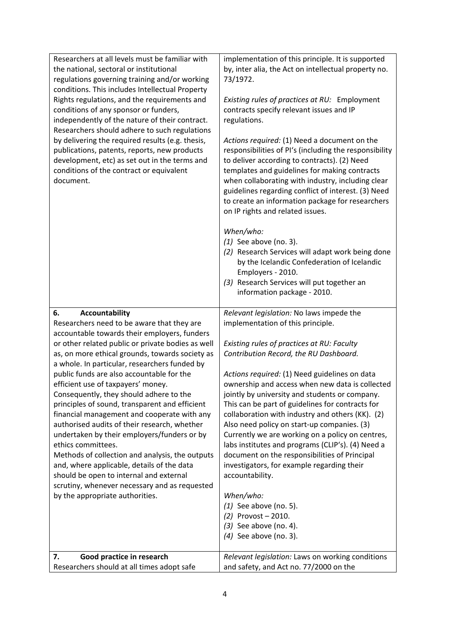| Researchers at all levels must be familiar with<br>the national, sectoral or institutional<br>regulations governing training and/or working<br>conditions. This includes Intellectual Property<br>Rights regulations, and the requirements and<br>conditions of any sponsor or funders,<br>independently of the nature of their contract.<br>Researchers should adhere to such regulations<br>by delivering the required results (e.g. thesis,<br>publications, patents, reports, new products<br>development, etc) as set out in the terms and<br>conditions of the contract or equivalent<br>document.                                                                                                                                                                                                                                                               | implementation of this principle. It is supported<br>by, inter alia, the Act on intellectual property no.<br>73/1972.<br>Existing rules of practices at RU: Employment<br>contracts specify relevant issues and IP<br>regulations.<br>Actions required: (1) Need a document on the<br>responsibilities of PI's (including the responsibility<br>to deliver according to contracts). (2) Need<br>templates and guidelines for making contracts<br>when collaborating with industry, including clear<br>guidelines regarding conflict of interest. (3) Need<br>to create an information package for researchers<br>on IP rights and related issues.<br>When/who:<br>$(1)$ See above (no. 3).<br>(2) Research Services will adapt work being done<br>by the Icelandic Confederation of Icelandic<br>Employers - 2010.<br>(3) Research Services will put together an<br>information package - 2010. |
|------------------------------------------------------------------------------------------------------------------------------------------------------------------------------------------------------------------------------------------------------------------------------------------------------------------------------------------------------------------------------------------------------------------------------------------------------------------------------------------------------------------------------------------------------------------------------------------------------------------------------------------------------------------------------------------------------------------------------------------------------------------------------------------------------------------------------------------------------------------------|-------------------------------------------------------------------------------------------------------------------------------------------------------------------------------------------------------------------------------------------------------------------------------------------------------------------------------------------------------------------------------------------------------------------------------------------------------------------------------------------------------------------------------------------------------------------------------------------------------------------------------------------------------------------------------------------------------------------------------------------------------------------------------------------------------------------------------------------------------------------------------------------------|
| 6.<br><b>Accountability</b><br>Researchers need to be aware that they are<br>accountable towards their employers, funders<br>or other related public or private bodies as well<br>as, on more ethical grounds, towards society as<br>a whole. In particular, researchers funded by<br>public funds are also accountable for the<br>efficient use of taxpayers' money.<br>Consequently, they should adhere to the<br>principles of sound, transparent and efficient<br>financial management and cooperate with any<br>authorised audits of their research, whether<br>undertaken by their employers/funders or by<br>ethics committees.<br>Methods of collection and analysis, the outputs<br>and, where applicable, details of the data<br>should be open to internal and external<br>scrutiny, whenever necessary and as requested<br>by the appropriate authorities. | Relevant legislation: No laws impede the<br>implementation of this principle.<br>Existing rules of practices at RU: Faculty<br>Contribution Record, the RU Dashboard.<br>Actions required: (1) Need guidelines on data<br>ownership and access when new data is collected<br>jointly by university and students or company.<br>This can be part of guidelines for contracts for<br>collaboration with industry and others (KK). (2)<br>Also need policy on start-up companies. (3)<br>Currently we are working on a policy on centres,<br>labs institutes and programs (CLIP's). (4) Need a<br>document on the responsibilities of Principal<br>investigators, for example regarding their<br>accountability.<br>When/who:<br>$(1)$ See above (no. 5).<br>(2) Provost - 2010.<br>$(3)$ See above (no. 4).<br>$(4)$ See above (no. 3).                                                           |
| Good practice in research<br>7.<br>Researchers should at all times adopt safe                                                                                                                                                                                                                                                                                                                                                                                                                                                                                                                                                                                                                                                                                                                                                                                          | Relevant legislation: Laws on working conditions<br>and safety, and Act no. 77/2000 on the                                                                                                                                                                                                                                                                                                                                                                                                                                                                                                                                                                                                                                                                                                                                                                                                      |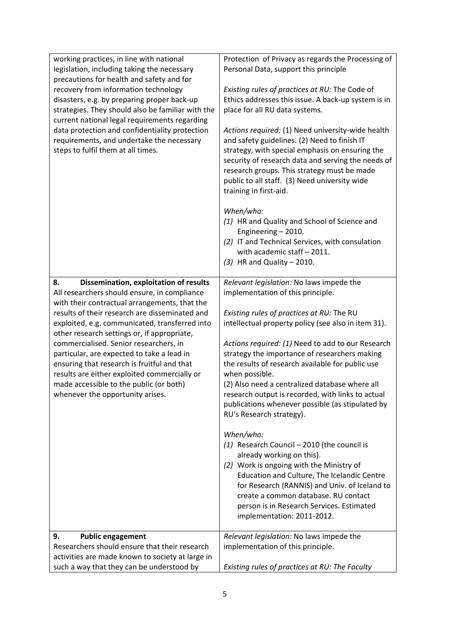| working practices, in line with national                                    | Protection of Privacy as regards the Processing of                                                    |
|-----------------------------------------------------------------------------|-------------------------------------------------------------------------------------------------------|
| legislation, including taking the necessary                                 | Personal Data, support this principle                                                                 |
| precautions for health and safety and for                                   |                                                                                                       |
| recovery from information technology                                        | Existing rules of practices at RU: The Code of                                                        |
| disasters, e.g. by preparing proper back-up                                 | Ethics addresses this issue. A back-up system is in                                                   |
| strategies. They should also be familiar with the                           | place for all RU data systems.                                                                        |
| current national legal requirements regarding                               |                                                                                                       |
| data protection and confidentiality protection                              | Actions required: (1) Need university-wide health                                                     |
| requirements, and undertake the necessary                                   | and safety guidelines. (2) Need to finish IT                                                          |
| steps to fulfil them at all times.                                          | strategy, with special emphasis on ensuring the<br>security of research data and serving the needs of |
|                                                                             | research groups. This strategy must be made                                                           |
|                                                                             | public to all staff. (3) Need university wide                                                         |
|                                                                             | training in first-aid.                                                                                |
|                                                                             |                                                                                                       |
|                                                                             | When/who:                                                                                             |
|                                                                             | (1) HR and Quality and School of Science and                                                          |
|                                                                             | Engineering - 2010.                                                                                   |
|                                                                             | (2) IT and Technical Services, with consulation                                                       |
|                                                                             | with academic staff - 2011.                                                                           |
|                                                                             | $(3)$ HR and Quality - 2010.                                                                          |
| Dissemination, exploitation of results<br>8.                                | Relevant legislation: No laws impede the                                                              |
| All researchers should ensure, in compliance                                | implementation of this principle.                                                                     |
| with their contractual arrangements, that the                               |                                                                                                       |
| results of their research are disseminated and                              | Existing rules of practices at RU: The RU                                                             |
| exploited, e.g. communicated, transferred into                              | intellectual property policy (see also in item 31).                                                   |
| other research settings or, if appropriate,                                 |                                                                                                       |
| commercialised. Senior researchers, in                                      | Actions required: (1) Need to add to our Research                                                     |
| particular, are expected to take a lead in                                  | strategy the importance of researchers making                                                         |
| ensuring that research is fruitful and that                                 | the results of research available for public use                                                      |
| results are either exploited commercially or                                | when possible.                                                                                        |
| made accessible to the public (or both)<br>whenever the opportunity arises. | (2) Also need a centralized database where all<br>research output is recorded, with links to actual   |
|                                                                             | publications whenever possible (as stipulated by                                                      |
|                                                                             | RU's Research strategy).                                                                              |
|                                                                             |                                                                                                       |
|                                                                             | When/who:                                                                                             |
|                                                                             | $(1)$ Research Council - 2010 (the council is                                                         |
|                                                                             | already working on this).                                                                             |
|                                                                             | (2) Work is ongoing with the Ministry of                                                              |
|                                                                             | Education and Culture, The Icelandic Centre                                                           |
|                                                                             | for Research (RANNIS) and Univ. of Iceland to                                                         |
|                                                                             | create a common database. RU contact<br>person is in Research Services. Estimated                     |
|                                                                             | implementation: 2011-2012.                                                                            |
|                                                                             |                                                                                                       |
| 9.<br><b>Public engagement</b>                                              | Relevant legislation: No laws impede the                                                              |
| Researchers should ensure that their research                               | implementation of this principle.                                                                     |
| activities are made known to society at large in                            |                                                                                                       |
| such a way that they can be understood by                                   | Existing rules of practices at RU: The Faculty                                                        |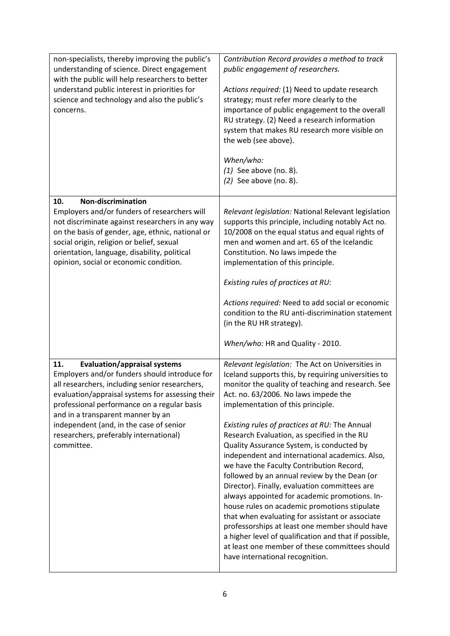| non-specialists, thereby improving the public's<br>understanding of science. Direct engagement<br>with the public will help researchers to better<br>understand public interest in priorities for<br>science and technology and also the public's<br>concerns.                                                                                                                           | Contribution Record provides a method to track<br>public engagement of researchers.<br>Actions required: (1) Need to update research<br>strategy; must refer more clearly to the<br>importance of public engagement to the overall<br>RU strategy. (2) Need a research information<br>system that makes RU research more visible on<br>the web (see above).<br>When/who:<br>$(1)$ See above (no. 8).<br>$(2)$ See above (no. 8).                                                                                                                                                                                                                                                                                                                                                                                                                                                                                                          |
|------------------------------------------------------------------------------------------------------------------------------------------------------------------------------------------------------------------------------------------------------------------------------------------------------------------------------------------------------------------------------------------|-------------------------------------------------------------------------------------------------------------------------------------------------------------------------------------------------------------------------------------------------------------------------------------------------------------------------------------------------------------------------------------------------------------------------------------------------------------------------------------------------------------------------------------------------------------------------------------------------------------------------------------------------------------------------------------------------------------------------------------------------------------------------------------------------------------------------------------------------------------------------------------------------------------------------------------------|
| <b>Non-discrimination</b><br>10.<br>Employers and/or funders of researchers will<br>not discriminate against researchers in any way<br>on the basis of gender, age, ethnic, national or<br>social origin, religion or belief, sexual<br>orientation, language, disability, political<br>opinion, social or economic condition.                                                           | Relevant legislation: National Relevant legislation<br>supports this principle, including notably Act no.<br>10/2008 on the equal status and equal rights of<br>men and women and art. 65 of the Icelandic<br>Constitution. No laws impede the<br>implementation of this principle.<br>Existing rules of practices at RU:<br>Actions required: Need to add social or economic<br>condition to the RU anti-discrimination statement<br>(in the RU HR strategy).<br>When/who: HR and Quality - 2010.                                                                                                                                                                                                                                                                                                                                                                                                                                        |
| 11.<br><b>Evaluation/appraisal systems</b><br>Employers and/or funders should introduce for<br>all researchers, including senior researchers,<br>evaluation/appraisal systems for assessing their<br>professional performance on a regular basis<br>and in a transparent manner by an<br>independent (and, in the case of senior<br>researchers, preferably international)<br>committee. | Relevant legislation: The Act on Universities in<br>Iceland supports this, by requiring universities to<br>monitor the quality of teaching and research. See<br>Act. no. 63/2006. No laws impede the<br>implementation of this principle.<br>Existing rules of practices at RU: The Annual<br>Research Evaluation, as specified in the RU<br>Quality Assurance System, is conducted by<br>independent and international academics. Also,<br>we have the Faculty Contribution Record,<br>followed by an annual review by the Dean (or<br>Director). Finally, evaluation committees are<br>always appointed for academic promotions. In-<br>house rules on academic promotions stipulate<br>that when evaluating for assistant or associate<br>professorships at least one member should have<br>a higher level of qualification and that if possible,<br>at least one member of these committees should<br>have international recognition. |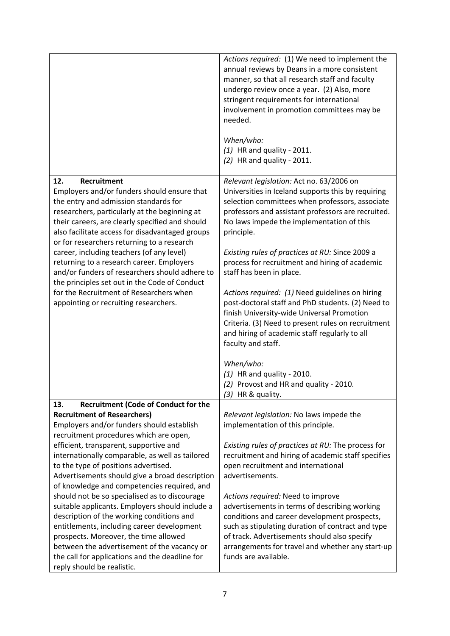|                                                                                                                                                                                                                                                                                                                 | Actions required: (1) We need to implement the<br>annual reviews by Deans in a more consistent<br>manner, so that all research staff and faculty<br>undergo review once a year. (2) Also, more<br>stringent requirements for international<br>involvement in promotion committees may be<br>needed.<br>When/who:<br>$(1)$ HR and quality - 2011.<br>$(2)$ HR and quality - 2011. |
|-----------------------------------------------------------------------------------------------------------------------------------------------------------------------------------------------------------------------------------------------------------------------------------------------------------------|----------------------------------------------------------------------------------------------------------------------------------------------------------------------------------------------------------------------------------------------------------------------------------------------------------------------------------------------------------------------------------|
| 12.<br>Recruitment<br>Employers and/or funders should ensure that<br>the entry and admission standards for<br>researchers, particularly at the beginning at<br>their careers, are clearly specified and should<br>also facilitate access for disadvantaged groups<br>or for researchers returning to a research | Relevant legislation: Act no. 63/2006 on<br>Universities in Iceland supports this by requiring<br>selection committees when professors, associate<br>professors and assistant professors are recruited.<br>No laws impede the implementation of this<br>principle.                                                                                                               |
| career, including teachers (of any level)<br>returning to a research career. Employers<br>and/or funders of researchers should adhere to                                                                                                                                                                        | Existing rules of practices at RU: Since 2009 a<br>process for recruitment and hiring of academic<br>staff has been in place.                                                                                                                                                                                                                                                    |
| the principles set out in the Code of Conduct<br>for the Recruitment of Researchers when<br>appointing or recruiting researchers.                                                                                                                                                                               | Actions required: (1) Need guidelines on hiring<br>post-doctoral staff and PhD students. (2) Need to<br>finish University-wide Universal Promotion<br>Criteria. (3) Need to present rules on recruitment<br>and hiring of academic staff regularly to all<br>faculty and staff.                                                                                                  |
|                                                                                                                                                                                                                                                                                                                 | When/who:<br>$(1)$ HR and quality - 2010.<br>(2) Provost and HR and quality - 2010.<br>$(3)$ HR & quality.                                                                                                                                                                                                                                                                       |
| 13.<br><b>Recruitment (Code of Conduct for the</b>                                                                                                                                                                                                                                                              |                                                                                                                                                                                                                                                                                                                                                                                  |
| <b>Recruitment of Researchers)</b>                                                                                                                                                                                                                                                                              | Relevant legislation: No laws impede the                                                                                                                                                                                                                                                                                                                                         |
| Employers and/or funders should establish<br>recruitment procedures which are open,                                                                                                                                                                                                                             | implementation of this principle.                                                                                                                                                                                                                                                                                                                                                |
| efficient, transparent, supportive and                                                                                                                                                                                                                                                                          | Existing rules of practices at RU: The process for                                                                                                                                                                                                                                                                                                                               |
| internationally comparable, as well as tailored                                                                                                                                                                                                                                                                 | recruitment and hiring of academic staff specifies                                                                                                                                                                                                                                                                                                                               |
| to the type of positions advertised.                                                                                                                                                                                                                                                                            | open recruitment and international                                                                                                                                                                                                                                                                                                                                               |
| Advertisements should give a broad description                                                                                                                                                                                                                                                                  | advertisements.                                                                                                                                                                                                                                                                                                                                                                  |
| of knowledge and competencies required, and<br>should not be so specialised as to discourage                                                                                                                                                                                                                    | Actions required: Need to improve                                                                                                                                                                                                                                                                                                                                                |
| suitable applicants. Employers should include a                                                                                                                                                                                                                                                                 | advertisements in terms of describing working                                                                                                                                                                                                                                                                                                                                    |
| description of the working conditions and                                                                                                                                                                                                                                                                       | conditions and career development prospects,                                                                                                                                                                                                                                                                                                                                     |
| entitlements, including career development                                                                                                                                                                                                                                                                      | such as stipulating duration of contract and type                                                                                                                                                                                                                                                                                                                                |
| prospects. Moreover, the time allowed                                                                                                                                                                                                                                                                           | of track. Advertisements should also specify                                                                                                                                                                                                                                                                                                                                     |
| between the advertisement of the vacancy or                                                                                                                                                                                                                                                                     | arrangements for travel and whether any start-up                                                                                                                                                                                                                                                                                                                                 |
| the call for applications and the deadline for<br>reply should be realistic.                                                                                                                                                                                                                                    | funds are available.                                                                                                                                                                                                                                                                                                                                                             |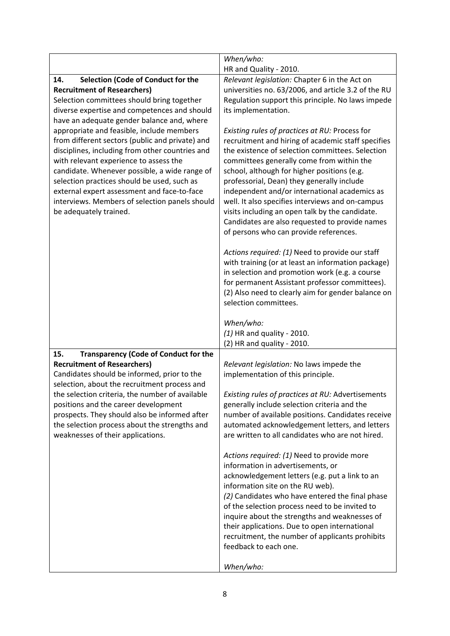|                                                                                                    | When/who:                                                                                              |
|----------------------------------------------------------------------------------------------------|--------------------------------------------------------------------------------------------------------|
|                                                                                                    | HR and Quality - 2010.                                                                                 |
| Selection (Code of Conduct for the<br>14.<br><b>Recruitment of Researchers)</b>                    | Relevant legislation: Chapter 6 in the Act on<br>universities no. 63/2006, and article 3.2 of the RU   |
| Selection committees should bring together                                                         | Regulation support this principle. No laws impede                                                      |
| diverse expertise and competences and should                                                       | its implementation.                                                                                    |
| have an adequate gender balance and, where                                                         |                                                                                                        |
| appropriate and feasible, include members                                                          | Existing rules of practices at RU: Process for                                                         |
| from different sectors (public and private) and<br>disciplines, including from other countries and | recruitment and hiring of academic staff specifies<br>the existence of selection committees. Selection |
| with relevant experience to assess the                                                             | committees generally come from within the                                                              |
| candidate. Whenever possible, a wide range of                                                      | school, although for higher positions (e.g.                                                            |
| selection practices should be used, such as                                                        | professorial, Dean) they generally include                                                             |
| external expert assessment and face-to-face<br>interviews. Members of selection panels should      | independent and/or international academics as<br>well. It also specifies interviews and on-campus      |
| be adequately trained.                                                                             | visits including an open talk by the candidate.                                                        |
|                                                                                                    | Candidates are also requested to provide names                                                         |
|                                                                                                    | of persons who can provide references.                                                                 |
|                                                                                                    | Actions required: (1) Need to provide our staff                                                        |
|                                                                                                    | with training (or at least an information package)                                                     |
|                                                                                                    | in selection and promotion work (e.g. a course                                                         |
|                                                                                                    | for permanent Assistant professor committees).<br>(2) Also need to clearly aim for gender balance on   |
|                                                                                                    | selection committees.                                                                                  |
|                                                                                                    |                                                                                                        |
|                                                                                                    | When/who:                                                                                              |
|                                                                                                    | $(1)$ HR and quality - 2010.<br>(2) HR and quality - 2010.                                             |
| <b>Transparency (Code of Conduct for the</b><br>15.                                                |                                                                                                        |
| <b>Recruitment of Researchers)</b>                                                                 | Relevant legislation: No laws impede the                                                               |
| Candidates should be informed, prior to the                                                        | implementation of this principle.                                                                      |
| selection, about the recruitment process and                                                       |                                                                                                        |
| the selection criteria, the number of available<br>positions and the career development            | Existing rules of practices at RU: Advertisements<br>generally include selection criteria and the      |
| prospects. They should also be informed after                                                      | number of available positions. Candidates receive                                                      |
| the selection process about the strengths and                                                      | automated acknowledgement letters, and letters                                                         |
| weaknesses of their applications.                                                                  | are written to all candidates who are not hired.                                                       |
|                                                                                                    | Actions required: (1) Need to provide more                                                             |
|                                                                                                    | information in advertisements, or                                                                      |
|                                                                                                    | acknowledgement letters (e.g. put a link to an<br>information site on the RU web).                     |
|                                                                                                    | (2) Candidates who have entered the final phase                                                        |
|                                                                                                    | of the selection process need to be invited to                                                         |
|                                                                                                    | inquire about the strengths and weaknesses of                                                          |
|                                                                                                    | their applications. Due to open international                                                          |
|                                                                                                    | recruitment, the number of applicants prohibits<br>feedback to each one.                               |
|                                                                                                    |                                                                                                        |
|                                                                                                    | When/who:                                                                                              |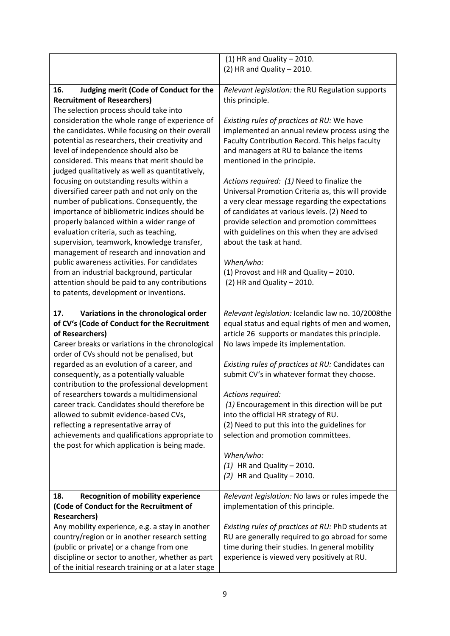|                                                                                                                                                                                                                                                                                                                                                                                                                                                                                                                                                                                                                                                                 | $(1)$ HR and Quality - 2010.                                                                                                                                                                                                                                                                                                                                                                                                                                                                                                                                                           |
|-----------------------------------------------------------------------------------------------------------------------------------------------------------------------------------------------------------------------------------------------------------------------------------------------------------------------------------------------------------------------------------------------------------------------------------------------------------------------------------------------------------------------------------------------------------------------------------------------------------------------------------------------------------------|----------------------------------------------------------------------------------------------------------------------------------------------------------------------------------------------------------------------------------------------------------------------------------------------------------------------------------------------------------------------------------------------------------------------------------------------------------------------------------------------------------------------------------------------------------------------------------------|
|                                                                                                                                                                                                                                                                                                                                                                                                                                                                                                                                                                                                                                                                 | $(2)$ HR and Quality - 2010.                                                                                                                                                                                                                                                                                                                                                                                                                                                                                                                                                           |
| 16.<br>Judging merit (Code of Conduct for the<br><b>Recruitment of Researchers)</b><br>The selection process should take into<br>consideration the whole range of experience of<br>the candidates. While focusing on their overall<br>potential as researchers, their creativity and<br>level of independence should also be                                                                                                                                                                                                                                                                                                                                    | Relevant legislation: the RU Regulation supports<br>this principle.<br>Existing rules of practices at RU: We have<br>implemented an annual review process using the<br>Faculty Contribution Record. This helps faculty<br>and managers at RU to balance the items                                                                                                                                                                                                                                                                                                                      |
| considered. This means that merit should be<br>judged qualitatively as well as quantitatively,<br>focusing on outstanding results within a<br>diversified career path and not only on the<br>number of publications. Consequently, the<br>importance of bibliometric indices should be<br>properly balanced within a wider range of<br>evaluation criteria, such as teaching,<br>supervision, teamwork, knowledge transfer,<br>management of research and innovation and<br>public awareness activities. For candidates<br>from an industrial background, particular<br>attention should be paid to any contributions<br>to patents, development or inventions. | mentioned in the principle.<br>Actions required: (1) Need to finalize the<br>Universal Promotion Criteria as, this will provide<br>a very clear message regarding the expectations<br>of candidates at various levels. (2) Need to<br>provide selection and promotion committees<br>with guidelines on this when they are advised<br>about the task at hand.<br>When/who:<br>(1) Provost and HR and Quality - 2010.<br>$(2)$ HR and Quality - 2010.                                                                                                                                    |
| Variations in the chronological order<br>17.<br>of CV's (Code of Conduct for the Recruitment<br>of Researchers)<br>Career breaks or variations in the chronological<br>order of CVs should not be penalised, but<br>regarded as an evolution of a career, and<br>consequently, as a potentially valuable<br>contribution to the professional development<br>of researchers towards a multidimensional<br>career track. Candidates should therefore be<br>allowed to submit evidence-based CVs,<br>reflecting a representative array of<br>achievements and qualifications appropriate to<br>the post for which application is being made.                       | Relevant legislation: Icelandic law no. 10/2008the<br>equal status and equal rights of men and women,<br>article 26 supports or mandates this principle.<br>No laws impede its implementation.<br>Existing rules of practices at RU: Candidates can<br>submit CV's in whatever format they choose.<br>Actions required:<br>(1) Encouragement in this direction will be put<br>into the official HR strategy of RU.<br>(2) Need to put this into the guidelines for<br>selection and promotion committees.<br>When/who:<br>$(1)$ HR and Quality - 2010.<br>$(2)$ HR and Quality - 2010. |
| 18.<br><b>Recognition of mobility experience</b><br>(Code of Conduct for the Recruitment of<br><b>Researchers)</b><br>Any mobility experience, e.g. a stay in another<br>country/region or in another research setting<br>(public or private) or a change from one<br>discipline or sector to another, whether as part<br>of the initial research training or at a later stage                                                                                                                                                                                                                                                                                  | Relevant legislation: No laws or rules impede the<br>implementation of this principle.<br>Existing rules of practices at RU: PhD students at<br>RU are generally required to go abroad for some<br>time during their studies. In general mobility<br>experience is viewed very positively at RU.                                                                                                                                                                                                                                                                                       |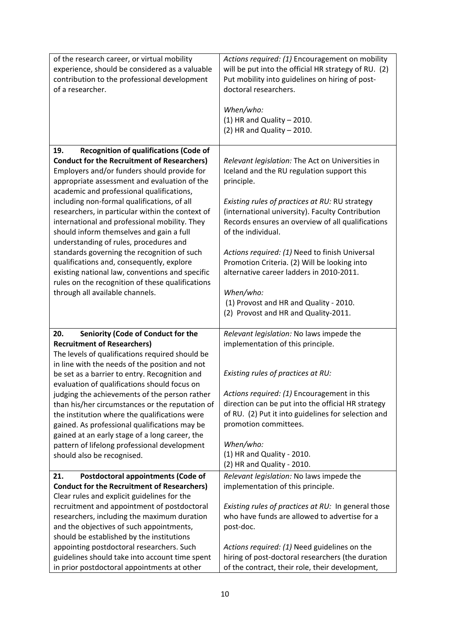| of the research career, or virtual mobility<br>experience, should be considered as a valuable<br>contribution to the professional development<br>of a researcher.                                                                                    | Actions required: (1) Encouragement on mobility<br>will be put into the official HR strategy of RU. (2)<br>Put mobility into guidelines on hiring of post-<br>doctoral researchers.<br>When/who:<br>$(1)$ HR and Quality - 2010.<br>$(2)$ HR and Quality - 2010. |
|------------------------------------------------------------------------------------------------------------------------------------------------------------------------------------------------------------------------------------------------------|------------------------------------------------------------------------------------------------------------------------------------------------------------------------------------------------------------------------------------------------------------------|
| <b>Recognition of qualifications (Code of</b><br>19.<br><b>Conduct for the Recruitment of Researchers)</b><br>Employers and/or funders should provide for                                                                                            | Relevant legislation: The Act on Universities in<br>Iceland and the RU regulation support this                                                                                                                                                                   |
| appropriate assessment and evaluation of the<br>academic and professional qualifications,                                                                                                                                                            | principle.                                                                                                                                                                                                                                                       |
| including non-formal qualifications, of all<br>researchers, in particular within the context of<br>international and professional mobility. They<br>should inform themselves and gain a full<br>understanding of rules, procedures and               | Existing rules of practices at RU: RU strategy<br>(international university). Faculty Contribution<br>Records ensures an overview of all qualifications<br>of the individual.                                                                                    |
| standards governing the recognition of such<br>qualifications and, consequently, explore<br>existing national law, conventions and specific                                                                                                          | Actions required: (1) Need to finish Universal<br>Promotion Criteria. (2) Will be looking into<br>alternative career ladders in 2010-2011.                                                                                                                       |
| rules on the recognition of these qualifications<br>through all available channels.                                                                                                                                                                  | When/who:                                                                                                                                                                                                                                                        |
|                                                                                                                                                                                                                                                      | (1) Provost and HR and Quality - 2010.<br>(2) Provost and HR and Quality-2011.                                                                                                                                                                                   |
| 20.<br>Seniority (Code of Conduct for the                                                                                                                                                                                                            | Relevant legislation: No laws impede the                                                                                                                                                                                                                         |
| <b>Recruitment of Researchers)</b><br>The levels of qualifications required should be<br>in line with the needs of the position and not                                                                                                              | implementation of this principle.                                                                                                                                                                                                                                |
| be set as a barrier to entry. Recognition and<br>evaluation of qualifications should focus on                                                                                                                                                        | Existing rules of practices at RU:                                                                                                                                                                                                                               |
| judging the achievements of the person rather<br>than his/her circumstances or the reputation of<br>the institution where the qualifications were<br>gained. As professional qualifications may be<br>gained at an early stage of a long career, the | Actions required: (1) Encouragement in this<br>direction can be put into the official HR strategy<br>of RU. (2) Put it into guidelines for selection and<br>promotion committees.                                                                                |
| pattern of lifelong professional development<br>should also be recognised.                                                                                                                                                                           | When/who:<br>(1) HR and Quality - 2010.<br>(2) HR and Quality - 2010.                                                                                                                                                                                            |
| 21.<br>Postdoctoral appointments (Code of                                                                                                                                                                                                            | Relevant legislation: No laws impede the                                                                                                                                                                                                                         |
| <b>Conduct for the Recruitment of Researchers)</b>                                                                                                                                                                                                   | implementation of this principle.                                                                                                                                                                                                                                |
| Clear rules and explicit guidelines for the                                                                                                                                                                                                          |                                                                                                                                                                                                                                                                  |
| recruitment and appointment of postdoctoral                                                                                                                                                                                                          | Existing rules of practices at RU: In general those                                                                                                                                                                                                              |
| researchers, including the maximum duration<br>and the objectives of such appointments,                                                                                                                                                              | who have funds are allowed to advertise for a                                                                                                                                                                                                                    |
| should be established by the institutions                                                                                                                                                                                                            | post-doc.                                                                                                                                                                                                                                                        |
| appointing postdoctoral researchers. Such                                                                                                                                                                                                            | Actions required: (1) Need guidelines on the                                                                                                                                                                                                                     |
| guidelines should take into account time spent<br>in prior postdoctoral appointments at other                                                                                                                                                        | hiring of post-doctoral researchers (the duration<br>of the contract, their role, their development,                                                                                                                                                             |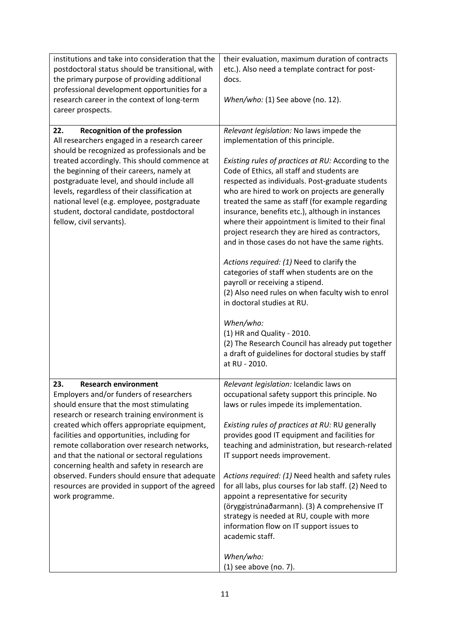| institutions and take into consideration that the<br>postdoctoral status should be transitional, with<br>the primary purpose of providing additional<br>professional development opportunities for a<br>research career in the context of long-term<br>career prospects.                                                                                                                                                                                                                                                                       | their evaluation, maximum duration of contracts<br>etc.). Also need a template contract for post-<br>docs.<br>When/who: (1) See above (no. 12).                                                                                                                                                                                                                                                                                                                                                                                                                                                                                                                                                                                                                                                                                                                                                                                                         |
|------------------------------------------------------------------------------------------------------------------------------------------------------------------------------------------------------------------------------------------------------------------------------------------------------------------------------------------------------------------------------------------------------------------------------------------------------------------------------------------------------------------------------------------------|---------------------------------------------------------------------------------------------------------------------------------------------------------------------------------------------------------------------------------------------------------------------------------------------------------------------------------------------------------------------------------------------------------------------------------------------------------------------------------------------------------------------------------------------------------------------------------------------------------------------------------------------------------------------------------------------------------------------------------------------------------------------------------------------------------------------------------------------------------------------------------------------------------------------------------------------------------|
| Recognition of the profession<br>22.<br>All researchers engaged in a research career<br>should be recognized as professionals and be<br>treated accordingly. This should commence at<br>the beginning of their careers, namely at<br>postgraduate level, and should include all<br>levels, regardless of their classification at<br>national level (e.g. employee, postgraduate<br>student, doctoral candidate, postdoctoral<br>fellow, civil servants).                                                                                       | Relevant legislation: No laws impede the<br>implementation of this principle.<br>Existing rules of practices at RU: According to the<br>Code of Ethics, all staff and students are<br>respected as individuals. Post-graduate students<br>who are hired to work on projects are generally<br>treated the same as staff (for example regarding<br>insurance, benefits etc.), although in instances<br>where their appointment is limited to their final<br>project research they are hired as contractors,<br>and in those cases do not have the same rights.<br>Actions required: (1) Need to clarify the<br>categories of staff when students are on the<br>payroll or receiving a stipend.<br>(2) Also need rules on when faculty wish to enrol<br>in doctoral studies at RU.<br>When/who:<br>(1) HR and Quality - 2010.<br>(2) The Research Council has already put together<br>a draft of guidelines for doctoral studies by staff<br>at RU - 2010. |
| <b>Research environment</b><br>23.<br>Employers and/or funders of researchers<br>should ensure that the most stimulating<br>research or research training environment is<br>created which offers appropriate equipment,<br>facilities and opportunities, including for<br>remote collaboration over research networks,<br>and that the national or sectoral regulations<br>concerning health and safety in research are<br>observed. Funders should ensure that adequate<br>resources are provided in support of the agreed<br>work programme. | Relevant legislation: Icelandic laws on<br>occupational safety support this principle. No<br>laws or rules impede its implementation.<br>Existing rules of practices at RU: RU generally<br>provides good IT equipment and facilities for<br>teaching and administration, but research-related<br>IT support needs improvement.<br>Actions required: (1) Need health and safety rules<br>for all labs, plus courses for lab staff. (2) Need to<br>appoint a representative for security<br>(öryggistrúnaðarmann). (3) A comprehensive IT<br>strategy is needed at RU, couple with more<br>information flow on IT support issues to<br>academic staff.<br>When/who:<br>(1) see above (no. 7).                                                                                                                                                                                                                                                            |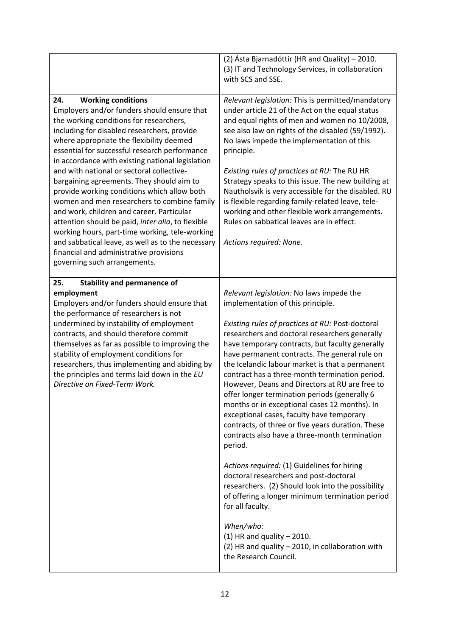|                                                                                                                                                                                                                                                                                                                                                                                                                                                                                                                                                                                                                                                                                                                                                                                                        | (2) Ásta Bjarnadóttir (HR and Quality) – 2010.<br>(3) IT and Technology Services, in collaboration<br>with SCS and SSE.                                                                                                                                                                                                                                                                                                                                                                                                                                                                                                                                                                                                                                                                                                                                                                                                                                                                                                                                       |
|--------------------------------------------------------------------------------------------------------------------------------------------------------------------------------------------------------------------------------------------------------------------------------------------------------------------------------------------------------------------------------------------------------------------------------------------------------------------------------------------------------------------------------------------------------------------------------------------------------------------------------------------------------------------------------------------------------------------------------------------------------------------------------------------------------|---------------------------------------------------------------------------------------------------------------------------------------------------------------------------------------------------------------------------------------------------------------------------------------------------------------------------------------------------------------------------------------------------------------------------------------------------------------------------------------------------------------------------------------------------------------------------------------------------------------------------------------------------------------------------------------------------------------------------------------------------------------------------------------------------------------------------------------------------------------------------------------------------------------------------------------------------------------------------------------------------------------------------------------------------------------|
| 24.<br><b>Working conditions</b><br>Employers and/or funders should ensure that<br>the working conditions for researchers,<br>including for disabled researchers, provide<br>where appropriate the flexibility deemed<br>essential for successful research performance<br>in accordance with existing national legislation<br>and with national or sectoral collective-<br>bargaining agreements. They should aim to<br>provide working conditions which allow both<br>women and men researchers to combine family<br>and work, children and career. Particular<br>attention should be paid, inter alia, to flexible<br>working hours, part-time working, tele-working<br>and sabbatical leave, as well as to the necessary<br>financial and administrative provisions<br>governing such arrangements. | Relevant legislation: This is permitted/mandatory<br>under article 21 of the Act on the equal status<br>and equal rights of men and women no 10/2008,<br>see also law on rights of the disabled (59/1992).<br>No laws impede the implementation of this<br>principle.<br>Existing rules of practices at RU: The RU HR<br>Strategy speaks to this issue. The new building at<br>Nautholsvik is very accessible for the disabled. RU<br>is flexible regarding family-related leave, tele-<br>working and other flexible work arrangements.<br>Rules on sabbatical leaves are in effect.<br>Actions required: None.                                                                                                                                                                                                                                                                                                                                                                                                                                              |
| 25.<br><b>Stability and permanence of</b><br>employment<br>Employers and/or funders should ensure that<br>the performance of researchers is not<br>undermined by instability of employment<br>contracts, and should therefore commit<br>themselves as far as possible to improving the<br>stability of employment conditions for<br>researchers, thus implementing and abiding by<br>the principles and terms laid down in the EU<br>Directive on Fixed-Term Work.                                                                                                                                                                                                                                                                                                                                     | Relevant legislation: No laws impede the<br>implementation of this principle.<br>Existing rules of practices at RU: Post-doctoral<br>researchers and doctoral researchers generally<br>have temporary contracts, but faculty generally<br>have permanent contracts. The general rule on<br>the Icelandic labour market is that a permanent<br>contract has a three-month termination period.<br>However, Deans and Directors at RU are free to<br>offer longer termination periods (generally 6<br>months or in exceptional cases 12 months). In<br>exceptional cases, faculty have temporary<br>contracts, of three or five years duration. These<br>contracts also have a three-month termination<br>period.<br>Actions required: (1) Guidelines for hiring<br>doctoral researchers and post-doctoral<br>researchers. (2) Should look into the possibility<br>of offering a longer minimum termination period<br>for all faculty.<br>When/who:<br>$(1)$ HR and quality - 2010.<br>(2) HR and quality - 2010, in collaboration with<br>the Research Council. |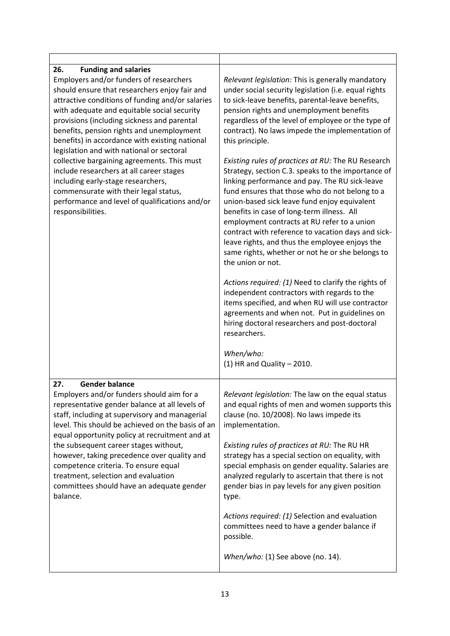| 26.<br><b>Funding and salaries</b><br>Employers and/or funders of researchers<br>should ensure that researchers enjoy fair and<br>attractive conditions of funding and/or salaries<br>with adequate and equitable social security<br>provisions (including sickness and parental<br>benefits, pension rights and unemployment<br>benefits) in accordance with existing national<br>legislation and with national or sectoral<br>collective bargaining agreements. This must<br>include researchers at all career stages<br>including early-stage researchers,<br>commensurate with their legal status,<br>performance and level of qualifications and/or<br>responsibilities. | Relevant legislation: This is generally mandatory<br>under social security legislation (i.e. equal rights<br>to sick-leave benefits, parental-leave benefits,<br>pension rights and unemployment benefits<br>regardless of the level of employee or the type of<br>contract). No laws impede the implementation of<br>this principle.<br>Existing rules of practices at RU: The RU Research<br>Strategy, section C.3. speaks to the importance of<br>linking performance and pay. The RU sick-leave<br>fund ensures that those who do not belong to a<br>union-based sick leave fund enjoy equivalent<br>benefits in case of long-term illness. All<br>employment contracts at RU refer to a union<br>contract with reference to vacation days and sick-<br>leave rights, and thus the employee enjoys the<br>same rights, whether or not he or she belongs to<br>the union or not.<br>Actions required: (1) Need to clarify the rights of<br>independent contractors with regards to the<br>items specified, and when RU will use contractor<br>agreements and when not. Put in guidelines on<br>hiring doctoral researchers and post-doctoral<br>researchers.<br>When/who:<br>$(1)$ HR and Quality - 2010. |
|-------------------------------------------------------------------------------------------------------------------------------------------------------------------------------------------------------------------------------------------------------------------------------------------------------------------------------------------------------------------------------------------------------------------------------------------------------------------------------------------------------------------------------------------------------------------------------------------------------------------------------------------------------------------------------|--------------------------------------------------------------------------------------------------------------------------------------------------------------------------------------------------------------------------------------------------------------------------------------------------------------------------------------------------------------------------------------------------------------------------------------------------------------------------------------------------------------------------------------------------------------------------------------------------------------------------------------------------------------------------------------------------------------------------------------------------------------------------------------------------------------------------------------------------------------------------------------------------------------------------------------------------------------------------------------------------------------------------------------------------------------------------------------------------------------------------------------------------------------------------------------------------------------|
| <b>Gender balance</b><br>27.<br>Employers and/or funders should aim for a<br>representative gender balance at all levels of<br>staff, including at supervisory and managerial<br>level. This should be achieved on the basis of an<br>equal opportunity policy at recruitment and at<br>the subsequent career stages without,<br>however, taking precedence over quality and<br>competence criteria. To ensure equal<br>treatment, selection and evaluation<br>committees should have an adequate gender<br>balance.                                                                                                                                                          | Relevant legislation: The law on the equal status<br>and equal rights of men and women supports this<br>clause (no. 10/2008). No laws impede its<br>implementation.<br>Existing rules of practices at RU: The RU HR<br>strategy has a special section on equality, with<br>special emphasis on gender equality. Salaries are<br>analyzed regularly to ascertain that there is not<br>gender bias in pay levels for any given position<br>type.<br>Actions required: (1) Selection and evaluation<br>committees need to have a gender balance if<br>possible.<br>When/who: (1) See above (no. 14).                                                                                                                                                                                                                                                                                                                                                                                                                                                                                                                                                                                                            |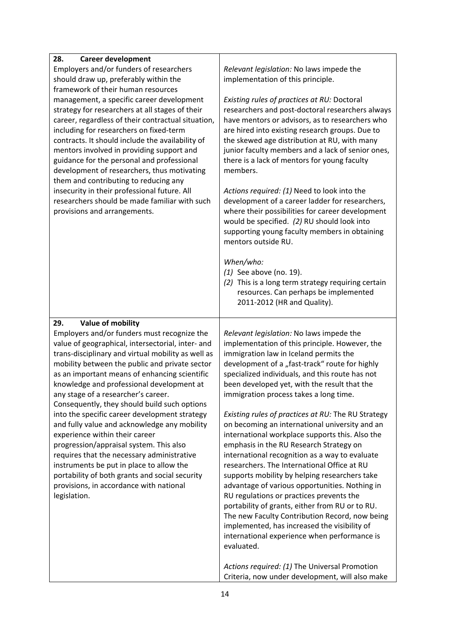| 28.<br><b>Career development</b>                                                                        |                                                                                                                                                                                                                            |  |  |  |
|---------------------------------------------------------------------------------------------------------|----------------------------------------------------------------------------------------------------------------------------------------------------------------------------------------------------------------------------|--|--|--|
| Employers and/or funders of researchers                                                                 | Relevant legislation: No laws impede the<br>implementation of this principle.                                                                                                                                              |  |  |  |
| should draw up, preferably within the                                                                   |                                                                                                                                                                                                                            |  |  |  |
| framework of their human resources                                                                      |                                                                                                                                                                                                                            |  |  |  |
| management, a specific career development                                                               | Existing rules of practices at RU: Doctoral                                                                                                                                                                                |  |  |  |
| strategy for researchers at all stages of their                                                         | researchers and post-doctoral researchers always                                                                                                                                                                           |  |  |  |
| career, regardless of their contractual situation,<br>including for researchers on fixed-term           | have mentors or advisors, as to researchers who                                                                                                                                                                            |  |  |  |
| contracts. It should include the availability of                                                        | are hired into existing research groups. Due to<br>the skewed age distribution at RU, with many                                                                                                                            |  |  |  |
| mentors involved in providing support and                                                               | junior faculty members and a lack of senior ones,                                                                                                                                                                          |  |  |  |
| guidance for the personal and professional                                                              | there is a lack of mentors for young faculty                                                                                                                                                                               |  |  |  |
| development of researchers, thus motivating                                                             | members.                                                                                                                                                                                                                   |  |  |  |
| them and contributing to reducing any                                                                   |                                                                                                                                                                                                                            |  |  |  |
| insecurity in their professional future. All                                                            | Actions required: (1) Need to look into the                                                                                                                                                                                |  |  |  |
| researchers should be made familiar with such<br>provisions and arrangements.                           | development of a career ladder for researchers,<br>where their possibilities for career development<br>would be specified. (2) RU should look into<br>supporting young faculty members in obtaining<br>mentors outside RU. |  |  |  |
|                                                                                                         | When/who:                                                                                                                                                                                                                  |  |  |  |
|                                                                                                         | $(1)$ See above (no. 19).                                                                                                                                                                                                  |  |  |  |
|                                                                                                         | (2) This is a long term strategy requiring certain                                                                                                                                                                         |  |  |  |
|                                                                                                         | resources. Can perhaps be implemented                                                                                                                                                                                      |  |  |  |
|                                                                                                         | 2011-2012 (HR and Quality).                                                                                                                                                                                                |  |  |  |
|                                                                                                         |                                                                                                                                                                                                                            |  |  |  |
|                                                                                                         |                                                                                                                                                                                                                            |  |  |  |
| Value of mobility<br>29.                                                                                |                                                                                                                                                                                                                            |  |  |  |
| Employers and/or funders must recognize the                                                             | Relevant legislation: No laws impede the                                                                                                                                                                                   |  |  |  |
| value of geographical, intersectorial, inter- and<br>trans-disciplinary and virtual mobility as well as | implementation of this principle. However, the<br>immigration law in Iceland permits the                                                                                                                                   |  |  |  |
| mobility between the public and private sector                                                          | development of a "fast-track" route for highly                                                                                                                                                                             |  |  |  |
| as an important means of enhancing scientific                                                           | specialized individuals, and this route has not                                                                                                                                                                            |  |  |  |
| knowledge and professional development at                                                               | been developed yet, with the result that the                                                                                                                                                                               |  |  |  |
| any stage of a researcher's career.                                                                     | immigration process takes a long time.                                                                                                                                                                                     |  |  |  |
| Consequently, they should build such options                                                            |                                                                                                                                                                                                                            |  |  |  |
| into the specific career development strategy                                                           | Existing rules of practices at RU: The RU Strategy                                                                                                                                                                         |  |  |  |
| and fully value and acknowledge any mobility                                                            | on becoming an international university and an                                                                                                                                                                             |  |  |  |
| experience within their career                                                                          | international workplace supports this. Also the                                                                                                                                                                            |  |  |  |
| progression/appraisal system. This also                                                                 | emphasis in the RU Research Strategy on                                                                                                                                                                                    |  |  |  |
| requires that the necessary administrative                                                              | international recognition as a way to evaluate<br>researchers. The International Office at RU                                                                                                                              |  |  |  |
| instruments be put in place to allow the<br>portability of both grants and social security              | supports mobility by helping researchers take                                                                                                                                                                              |  |  |  |
| provisions, in accordance with national                                                                 | advantage of various opportunities. Nothing in                                                                                                                                                                             |  |  |  |
| legislation.                                                                                            | RU regulations or practices prevents the                                                                                                                                                                                   |  |  |  |
|                                                                                                         | portability of grants, either from RU or to RU.                                                                                                                                                                            |  |  |  |
|                                                                                                         | The new Faculty Contribution Record, now being                                                                                                                                                                             |  |  |  |
|                                                                                                         | implemented, has increased the visibility of                                                                                                                                                                               |  |  |  |
|                                                                                                         | international experience when performance is                                                                                                                                                                               |  |  |  |
|                                                                                                         | evaluated.                                                                                                                                                                                                                 |  |  |  |
|                                                                                                         | Actions required: (1) The Universal Promotion                                                                                                                                                                              |  |  |  |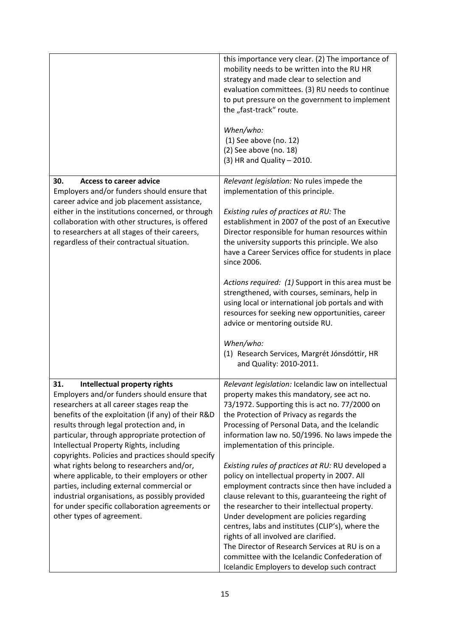|                                                                                                                                                                                                                                                                                                                                                                                                                                                                                                                                                                                                                                                                | this importance very clear. (2) The importance of<br>mobility needs to be written into the RU HR<br>strategy and made clear to selection and<br>evaluation committees. (3) RU needs to continue<br>to put pressure on the government to implement<br>the "fast-track" route.<br>When/who:<br>$(1)$ See above (no. 12)<br>(2) See above (no. 18)<br>$(3)$ HR and Quality - 2010.                                                                                                                                                                                                                                                                                                                                                                                                                                                                                                                        |  |
|----------------------------------------------------------------------------------------------------------------------------------------------------------------------------------------------------------------------------------------------------------------------------------------------------------------------------------------------------------------------------------------------------------------------------------------------------------------------------------------------------------------------------------------------------------------------------------------------------------------------------------------------------------------|--------------------------------------------------------------------------------------------------------------------------------------------------------------------------------------------------------------------------------------------------------------------------------------------------------------------------------------------------------------------------------------------------------------------------------------------------------------------------------------------------------------------------------------------------------------------------------------------------------------------------------------------------------------------------------------------------------------------------------------------------------------------------------------------------------------------------------------------------------------------------------------------------------|--|
| 30.<br><b>Access to career advice</b><br>Employers and/or funders should ensure that<br>career advice and job placement assistance,<br>either in the institutions concerned, or through<br>collaboration with other structures, is offered<br>to researchers at all stages of their careers,<br>regardless of their contractual situation.                                                                                                                                                                                                                                                                                                                     | Relevant legislation: No rules impede the<br>implementation of this principle.<br>Existing rules of practices at RU: The<br>establishment in 2007 of the post of an Executive<br>Director responsible for human resources within<br>the university supports this principle. We also<br>have a Career Services office for students in place<br>since 2006.<br>Actions required: (1) Support in this area must be<br>strengthened, with courses, seminars, help in<br>using local or international job portals and with<br>resources for seeking new opportunities, career<br>advice or mentoring outside RU.<br>When/who:<br>(1) Research Services, Margrét Jónsdóttir, HR<br>and Quality: 2010-2011.                                                                                                                                                                                                   |  |
| 31.<br>Intellectual property rights<br>Employers and/or funders should ensure that<br>researchers at all career stages reap the<br>benefits of the exploitation (if any) of their R&D<br>results through legal protection and, in<br>particular, through appropriate protection of<br>Intellectual Property Rights, including<br>copyrights. Policies and practices should specify<br>what rights belong to researchers and/or,<br>where applicable, to their employers or other<br>parties, including external commercial or<br>industrial organisations, as possibly provided<br>for under specific collaboration agreements or<br>other types of agreement. | Relevant legislation: Icelandic law on intellectual<br>property makes this mandatory, see act no.<br>73/1972. Supporting this is act no. 77/2000 on<br>the Protection of Privacy as regards the<br>Processing of Personal Data, and the Icelandic<br>information law no. 50/1996. No laws impede the<br>implementation of this principle.<br>Existing rules of practices at RU: RU developed a<br>policy on intellectual property in 2007. All<br>employment contracts since then have included a<br>clause relevant to this, guaranteeing the right of<br>the researcher to their intellectual property.<br>Under development are policies regarding<br>centres, labs and institutes (CLIP's), where the<br>rights of all involved are clarified.<br>The Director of Research Services at RU is on a<br>committee with the Icelandic Confederation of<br>Icelandic Employers to develop such contract |  |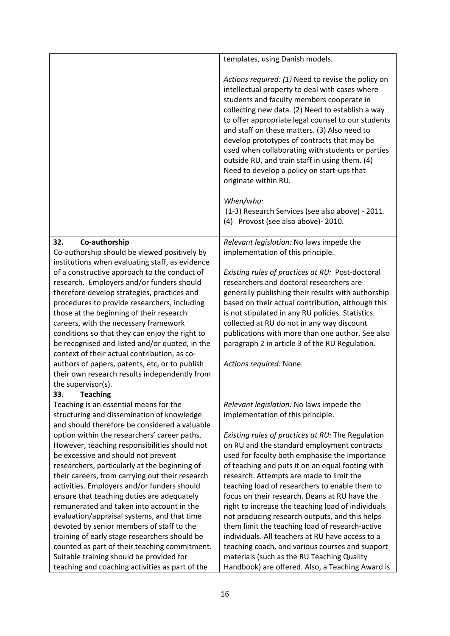|                                                                                                | templates, using Danish models.                    |  |  |
|------------------------------------------------------------------------------------------------|----------------------------------------------------|--|--|
|                                                                                                |                                                    |  |  |
|                                                                                                | Actions required: (1) Need to revise the policy on |  |  |
|                                                                                                | intellectual property to deal with cases where     |  |  |
|                                                                                                | students and faculty members cooperate in          |  |  |
|                                                                                                | collecting new data. (2) Need to establish a way   |  |  |
|                                                                                                | to offer appropriate legal counsel to our students |  |  |
|                                                                                                | and staff on these matters. (3) Also need to       |  |  |
|                                                                                                | develop prototypes of contracts that may be        |  |  |
|                                                                                                | used when collaborating with students or parties   |  |  |
|                                                                                                | outside RU, and train staff in using them. (4)     |  |  |
|                                                                                                | Need to develop a policy on start-ups that         |  |  |
|                                                                                                | originate within RU.                               |  |  |
|                                                                                                | When/who:                                          |  |  |
|                                                                                                | (1-3) Research Services (see also above) - 2011.   |  |  |
|                                                                                                | (4) Provost (see also above) - 2010.               |  |  |
|                                                                                                |                                                    |  |  |
| Co-authorship<br>32.                                                                           | Relevant legislation: No laws impede the           |  |  |
| Co-authorship should be viewed positively by                                                   | implementation of this principle.                  |  |  |
| institutions when evaluating staff, as evidence                                                |                                                    |  |  |
| of a constructive approach to the conduct of                                                   | Existing rules of practices at RU: Post-doctoral   |  |  |
| research. Employers and/or funders should                                                      | researchers and doctoral researchers are           |  |  |
| therefore develop strategies, practices and                                                    | generally publishing their results with authorship |  |  |
| procedures to provide researchers, including                                                   | based on their actual contribution, although this  |  |  |
| those at the beginning of their research                                                       | is not stipulated in any RU policies. Statistics   |  |  |
| careers, with the necessary framework                                                          | collected at RU do not in any way discount         |  |  |
| conditions so that they can enjoy the right to                                                 | publications with more than one author. See also   |  |  |
| be recognised and listed and/or quoted, in the<br>context of their actual contribution, as co- | paragraph 2 in article 3 of the RU Regulation.     |  |  |
| authors of papers, patents, etc, or to publish                                                 | Actions required: None.                            |  |  |
| their own research results independently from                                                  |                                                    |  |  |
| the supervisor(s).                                                                             |                                                    |  |  |
| 33.<br><b>Teaching</b>                                                                         |                                                    |  |  |
| Teaching is an essential means for the                                                         | Relevant legislation: No laws impede the           |  |  |
| structuring and dissemination of knowledge                                                     | implementation of this principle.                  |  |  |
| and should therefore be considered a valuable                                                  |                                                    |  |  |
| option within the researchers' career paths.                                                   | Existing rules of practices at RU: The Regulation  |  |  |
| However, teaching responsibilities should not                                                  | on RU and the standard employment contracts        |  |  |
| be excessive and should not prevent                                                            | used for faculty both emphasise the importance     |  |  |
| researchers, particularly at the beginning of                                                  | of teaching and puts it on an equal footing with   |  |  |
| their careers, from carrying out their research                                                | research. Attempts are made to limit the           |  |  |
| activities. Employers and/or funders should                                                    | teaching load of researchers to enable them to     |  |  |
| ensure that teaching duties are adequately                                                     | focus on their research. Deans at RU have the      |  |  |
| remunerated and taken into account in the                                                      | right to increase the teaching load of individuals |  |  |
| evaluation/appraisal systems, and that time                                                    | not producing research outputs, and this helps     |  |  |
| devoted by senior members of staff to the                                                      | them limit the teaching load of research-active    |  |  |
| training of early stage researchers should be                                                  | individuals. All teachers at RU have access to a   |  |  |
| counted as part of their teaching commitment.                                                  | teaching coach, and various courses and support    |  |  |
| Suitable training should be provided for                                                       | materials (such as the RU Teaching Quality         |  |  |
| teaching and coaching activities as part of the                                                | Handbook) are offered. Also, a Teaching Award is   |  |  |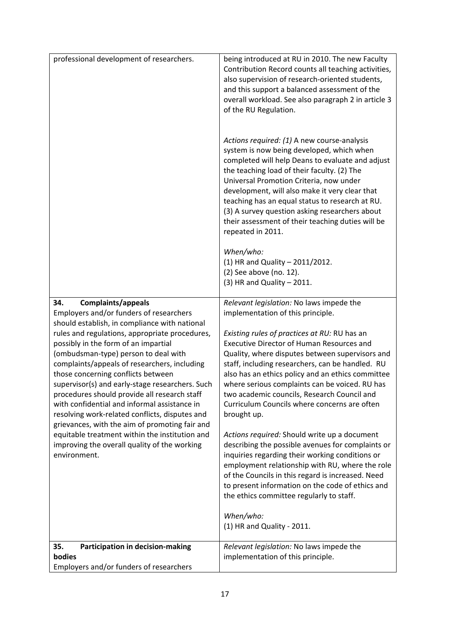| professional development of researchers.                                                                                                                                                                                                                                                                                                                                                                                                                                                                                                                                                                                                                                                                                                                          | being introduced at RU in 2010. The new Faculty<br>Contribution Record counts all teaching activities,<br>also supervision of research-oriented students,<br>and this support a balanced assessment of the<br>overall workload. See also paragraph 2 in article 3<br>of the RU Regulation.<br>Actions required: (1) A new course-analysis<br>system is now being developed, which when<br>completed will help Deans to evaluate and adjust<br>the teaching load of their faculty. (2) The<br>Universal Promotion Criteria, now under<br>development, will also make it very clear that<br>teaching has an equal status to research at RU.<br>(3) A survey question asking researchers about<br>their assessment of their teaching duties will be<br>repeated in 2011.<br>When/who:<br>(1) HR and Quality - 2011/2012.                                                                                                                                                |
|-------------------------------------------------------------------------------------------------------------------------------------------------------------------------------------------------------------------------------------------------------------------------------------------------------------------------------------------------------------------------------------------------------------------------------------------------------------------------------------------------------------------------------------------------------------------------------------------------------------------------------------------------------------------------------------------------------------------------------------------------------------------|----------------------------------------------------------------------------------------------------------------------------------------------------------------------------------------------------------------------------------------------------------------------------------------------------------------------------------------------------------------------------------------------------------------------------------------------------------------------------------------------------------------------------------------------------------------------------------------------------------------------------------------------------------------------------------------------------------------------------------------------------------------------------------------------------------------------------------------------------------------------------------------------------------------------------------------------------------------------|
|                                                                                                                                                                                                                                                                                                                                                                                                                                                                                                                                                                                                                                                                                                                                                                   | (2) See above (no. 12).<br>$(3)$ HR and Quality - 2011.                                                                                                                                                                                                                                                                                                                                                                                                                                                                                                                                                                                                                                                                                                                                                                                                                                                                                                              |
| Complaints/appeals<br>34.<br>Employers and/or funders of researchers<br>should establish, in compliance with national<br>rules and regulations, appropriate procedures,<br>possibly in the form of an impartial<br>(ombudsman-type) person to deal with<br>complaints/appeals of researchers, including<br>those concerning conflicts between<br>supervisor(s) and early-stage researchers. Such<br>procedures should provide all research staff<br>with confidential and informal assistance in<br>resolving work-related conflicts, disputes and<br>grievances, with the aim of promoting fair and<br>equitable treatment within the institution and<br>improving the overall quality of the working<br>environment.<br>Participation in decision-making<br>35. | Relevant legislation: No laws impede the<br>implementation of this principle.<br>Existing rules of practices at RU: RU has an<br><b>Executive Director of Human Resources and</b><br>Quality, where disputes between supervisors and<br>staff, including researchers, can be handled. RU<br>also has an ethics policy and an ethics committee<br>where serious complaints can be voiced. RU has<br>two academic councils, Research Council and<br>Curriculum Councils where concerns are often<br>brought up.<br>Actions required: Should write up a document<br>describing the possible avenues for complaints or<br>inquiries regarding their working conditions or<br>employment relationship with RU, where the role<br>of the Councils in this regard is increased. Need<br>to present information on the code of ethics and<br>the ethics committee regularly to staff.<br>When/who:<br>(1) HR and Quality - 2011.<br>Relevant legislation: No laws impede the |
| bodies                                                                                                                                                                                                                                                                                                                                                                                                                                                                                                                                                                                                                                                                                                                                                            | implementation of this principle.                                                                                                                                                                                                                                                                                                                                                                                                                                                                                                                                                                                                                                                                                                                                                                                                                                                                                                                                    |
| Employers and/or funders of researchers                                                                                                                                                                                                                                                                                                                                                                                                                                                                                                                                                                                                                                                                                                                           |                                                                                                                                                                                                                                                                                                                                                                                                                                                                                                                                                                                                                                                                                                                                                                                                                                                                                                                                                                      |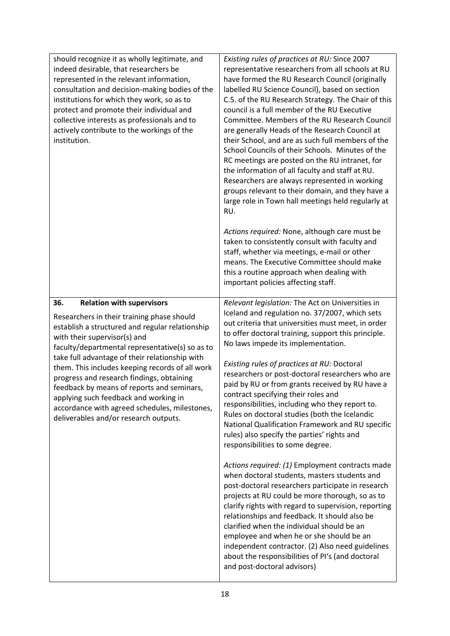| should recognize it as wholly legitimate, and<br>indeed desirable, that researchers be<br>represented in the relevant information,<br>consultation and decision-making bodies of the<br>institutions for which they work, so as to<br>protect and promote their individual and<br>collective interests as professionals and to<br>actively contribute to the workings of the<br>institution.                                                                                                                                                                   | Existing rules of practices at RU: Since 2007<br>representative researchers from all schools at RU<br>have formed the RU Research Council (originally<br>labelled RU Science Council), based on section<br>C.5. of the RU Research Strategy. The Chair of this<br>council is a full member of the RU Executive<br>Committee. Members of the RU Research Council<br>are generally Heads of the Research Council at<br>their School, and are as such full members of the<br>School Councils of their Schools. Minutes of the<br>RC meetings are posted on the RU intranet, for<br>the information of all faculty and staff at RU.<br>Researchers are always represented in working<br>groups relevant to their domain, and they have a<br>large role in Town hall meetings held regularly at<br>RU.<br>Actions required: None, although care must be<br>taken to consistently consult with faculty and<br>staff, whether via meetings, e-mail or other<br>means. The Executive Committee should make<br>this a routine approach when dealing with<br>important policies affecting staff.                                                                                                                                                             |
|----------------------------------------------------------------------------------------------------------------------------------------------------------------------------------------------------------------------------------------------------------------------------------------------------------------------------------------------------------------------------------------------------------------------------------------------------------------------------------------------------------------------------------------------------------------|----------------------------------------------------------------------------------------------------------------------------------------------------------------------------------------------------------------------------------------------------------------------------------------------------------------------------------------------------------------------------------------------------------------------------------------------------------------------------------------------------------------------------------------------------------------------------------------------------------------------------------------------------------------------------------------------------------------------------------------------------------------------------------------------------------------------------------------------------------------------------------------------------------------------------------------------------------------------------------------------------------------------------------------------------------------------------------------------------------------------------------------------------------------------------------------------------------------------------------------------------|
| 36.<br><b>Relation with supervisors</b><br>Researchers in their training phase should<br>establish a structured and regular relationship<br>with their supervisor(s) and<br>faculty/departmental representative(s) so as to<br>take full advantage of their relationship with<br>them. This includes keeping records of all work<br>progress and research findings, obtaining<br>feedback by means of reports and seminars,<br>applying such feedback and working in<br>accordance with agreed schedules, milestones,<br>deliverables and/or research outputs. | Relevant legislation: The Act on Universities in<br>Iceland and regulation no. 37/2007, which sets<br>out criteria that universities must meet, in order<br>to offer doctoral training, support this principle.<br>No laws impede its implementation.<br>Existing rules of practices at RU: Doctoral<br>researchers or post-doctoral researchers who are<br>paid by RU or from grants received by RU have a<br>contract specifying their roles and<br>responsibilities, including who they report to.<br>Rules on doctoral studies (both the Icelandic<br>National Qualification Framework and RU specific<br>rules) also specify the parties' rights and<br>responsibilities to some degree.<br>Actions required: (1) Employment contracts made<br>when doctoral students, masters students and<br>post-doctoral researchers participate in research<br>projects at RU could be more thorough, so as to<br>clarify rights with regard to supervision, reporting<br>relationships and feedback. It should also be<br>clarified when the individual should be an<br>employee and when he or she should be an<br>independent contractor. (2) Also need guidelines<br>about the responsibilities of PI's (and doctoral<br>and post-doctoral advisors) |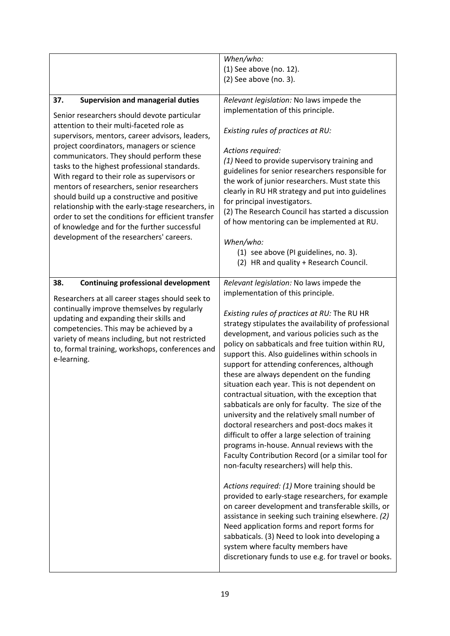|                                                                                                                                                                                                                                                                                                                                                                                                                                                                                                                                                                                                                                                                                          | When/who:                                                                                                                                                                                                                                                                                                                                                                                                                                                                                                                                                                                                                                                                                                                                                                                                                                                                                                                                                                                                                                                                                                                                                                                                                                                                                                             |  |  |
|------------------------------------------------------------------------------------------------------------------------------------------------------------------------------------------------------------------------------------------------------------------------------------------------------------------------------------------------------------------------------------------------------------------------------------------------------------------------------------------------------------------------------------------------------------------------------------------------------------------------------------------------------------------------------------------|-----------------------------------------------------------------------------------------------------------------------------------------------------------------------------------------------------------------------------------------------------------------------------------------------------------------------------------------------------------------------------------------------------------------------------------------------------------------------------------------------------------------------------------------------------------------------------------------------------------------------------------------------------------------------------------------------------------------------------------------------------------------------------------------------------------------------------------------------------------------------------------------------------------------------------------------------------------------------------------------------------------------------------------------------------------------------------------------------------------------------------------------------------------------------------------------------------------------------------------------------------------------------------------------------------------------------|--|--|
|                                                                                                                                                                                                                                                                                                                                                                                                                                                                                                                                                                                                                                                                                          | (1) See above (no. 12).<br>(2) See above (no. 3).                                                                                                                                                                                                                                                                                                                                                                                                                                                                                                                                                                                                                                                                                                                                                                                                                                                                                                                                                                                                                                                                                                                                                                                                                                                                     |  |  |
|                                                                                                                                                                                                                                                                                                                                                                                                                                                                                                                                                                                                                                                                                          |                                                                                                                                                                                                                                                                                                                                                                                                                                                                                                                                                                                                                                                                                                                                                                                                                                                                                                                                                                                                                                                                                                                                                                                                                                                                                                                       |  |  |
| 37.<br><b>Supervision and managerial duties</b><br>Senior researchers should devote particular<br>attention to their multi-faceted role as<br>supervisors, mentors, career advisors, leaders,<br>project coordinators, managers or science<br>communicators. They should perform these<br>tasks to the highest professional standards.<br>With regard to their role as supervisors or<br>mentors of researchers, senior researchers<br>should build up a constructive and positive<br>relationship with the early-stage researchers, in<br>order to set the conditions for efficient transfer<br>of knowledge and for the further successful<br>development of the researchers' careers. | Relevant legislation: No laws impede the<br>implementation of this principle.<br>Existing rules of practices at RU:<br>Actions required:<br>(1) Need to provide supervisory training and<br>guidelines for senior researchers responsible for<br>the work of junior researchers. Must state this<br>clearly in RU HR strategy and put into guidelines<br>for principal investigators.<br>(2) The Research Council has started a discussion<br>of how mentoring can be implemented at RU.<br>When/who:<br>(1) see above (PI guidelines, no. 3).<br>(2) HR and quality + Research Council.                                                                                                                                                                                                                                                                                                                                                                                                                                                                                                                                                                                                                                                                                                                              |  |  |
| <b>Continuing professional development</b><br>38.<br>Researchers at all career stages should seek to<br>continually improve themselves by regularly<br>updating and expanding their skills and<br>competencies. This may be achieved by a<br>variety of means including, but not restricted<br>to, formal training, workshops, conferences and<br>e-learning.                                                                                                                                                                                                                                                                                                                            | Relevant legislation: No laws impede the<br>implementation of this principle.<br>Existing rules of practices at RU: The RU HR<br>strategy stipulates the availability of professional<br>development, and various policies such as the<br>policy on sabbaticals and free tuition within RU,<br>support this. Also guidelines within schools in<br>support for attending conferences, although<br>these are always dependent on the funding<br>situation each year. This is not dependent on<br>contractual situation, with the exception that<br>sabbaticals are only for faculty. The size of the<br>university and the relatively small number of<br>doctoral researchers and post-docs makes it<br>difficult to offer a large selection of training<br>programs in-house. Annual reviews with the<br>Faculty Contribution Record (or a similar tool for<br>non-faculty researchers) will help this.<br>Actions required: (1) More training should be<br>provided to early-stage researchers, for example<br>on career development and transferable skills, or<br>assistance in seeking such training elsewhere. (2)<br>Need application forms and report forms for<br>sabbaticals. (3) Need to look into developing a<br>system where faculty members have<br>discretionary funds to use e.g. for travel or books. |  |  |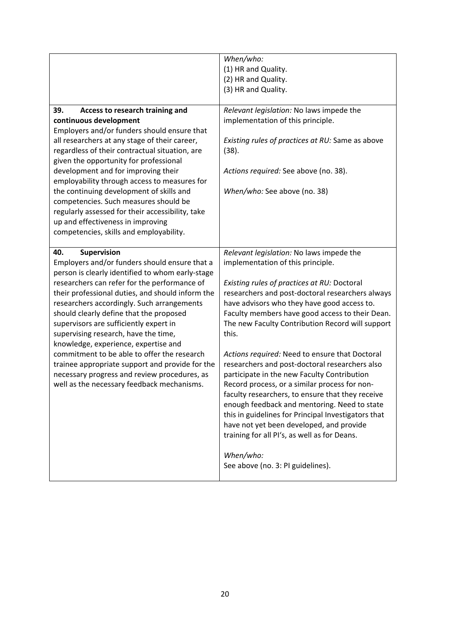|                                                                                                                                                                                                                                                                                                                                                                                                                                                                                                                                                                                                                                                | When/who:<br>(1) HR and Quality.<br>(2) HR and Quality.<br>(3) HR and Quality.                                                                                                                                                                                                                                                                                                                                                                                                                                                                                                                                                                                                                                                                                                                                                                               |  |
|------------------------------------------------------------------------------------------------------------------------------------------------------------------------------------------------------------------------------------------------------------------------------------------------------------------------------------------------------------------------------------------------------------------------------------------------------------------------------------------------------------------------------------------------------------------------------------------------------------------------------------------------|--------------------------------------------------------------------------------------------------------------------------------------------------------------------------------------------------------------------------------------------------------------------------------------------------------------------------------------------------------------------------------------------------------------------------------------------------------------------------------------------------------------------------------------------------------------------------------------------------------------------------------------------------------------------------------------------------------------------------------------------------------------------------------------------------------------------------------------------------------------|--|
| 39.<br>Access to research training and<br>continuous development<br>Employers and/or funders should ensure that<br>all researchers at any stage of their career,<br>regardless of their contractual situation, are<br>given the opportunity for professional<br>development and for improving their<br>employability through access to measures for<br>the continuing development of skills and<br>competencies. Such measures should be<br>regularly assessed for their accessibility, take<br>up and effectiveness in improving<br>competencies, skills and employability.                                                                   | Relevant legislation: No laws impede the<br>implementation of this principle.<br>Existing rules of practices at RU: Same as above<br>(38).<br>Actions required: See above (no. 38).<br>When/who: See above (no. 38)                                                                                                                                                                                                                                                                                                                                                                                                                                                                                                                                                                                                                                          |  |
| Supervision<br>40.<br>Employers and/or funders should ensure that a<br>person is clearly identified to whom early-stage<br>researchers can refer for the performance of<br>their professional duties, and should inform the<br>researchers accordingly. Such arrangements<br>should clearly define that the proposed<br>supervisors are sufficiently expert in<br>supervising research, have the time,<br>knowledge, experience, expertise and<br>commitment to be able to offer the research<br>trainee appropriate support and provide for the<br>necessary progress and review procedures, as<br>well as the necessary feedback mechanisms. | Relevant legislation: No laws impede the<br>implementation of this principle.<br>Existing rules of practices at RU: Doctoral<br>researchers and post-doctoral researchers always<br>have advisors who they have good access to.<br>Faculty members have good access to their Dean.<br>The new Faculty Contribution Record will support<br>this.<br>Actions required: Need to ensure that Doctoral<br>researchers and post-doctoral researchers also<br>participate in the new Faculty Contribution<br>Record process, or a similar process for non-<br>faculty researchers, to ensure that they receive<br>enough feedback and mentoring. Need to state<br>this in guidelines for Principal Investigators that<br>have not yet been developed, and provide<br>training for all PI's, as well as for Deans.<br>When/who:<br>See above (no. 3: PI guidelines). |  |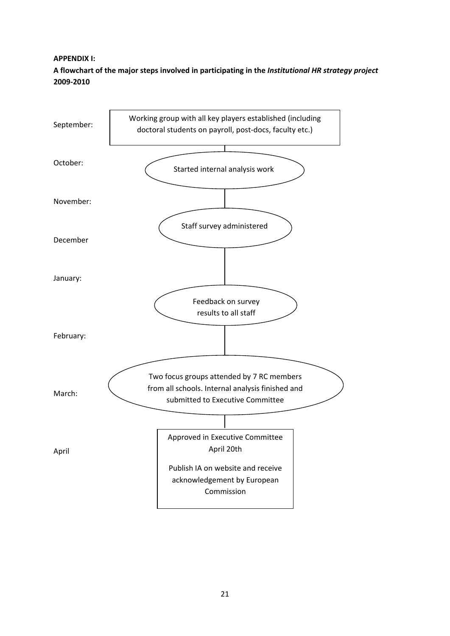### **APPENDIX I:**

**A flowchart of the major steps involved in participating in the** *Institutional HR strategy project* **2009‐2010**